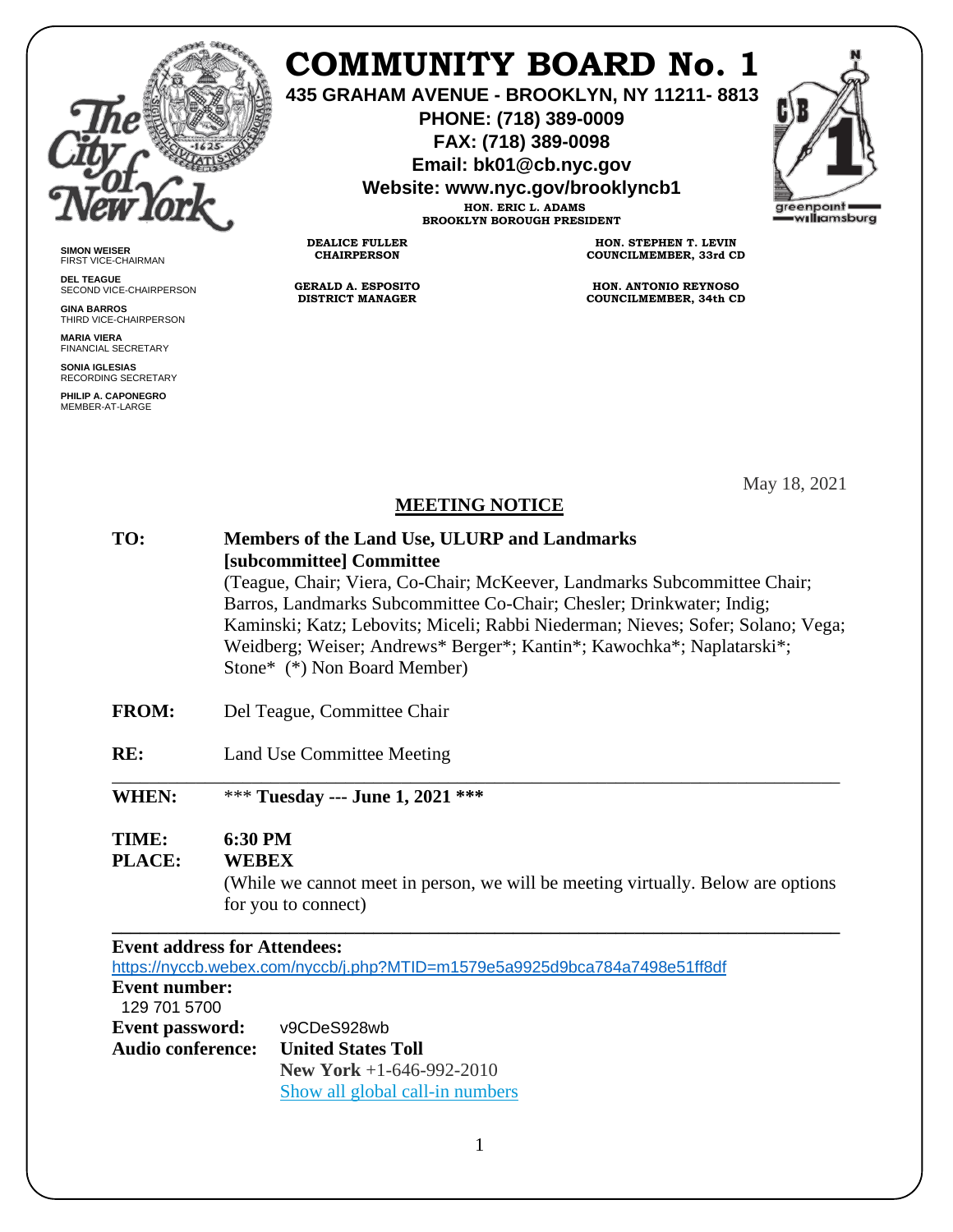

**SIMON WEISER** FIRST VICE-CHAIRMAN **DEL TEAGUE**

**GINA BARROS**

**MARIA VIERA** FINANCIAL SECRETARY **SONIA IGLESIAS** RECORDING SECRETARY **PHILIP A. CAPONEGRO** MEMBER-AT-LARGE

SECOND VICE-CHAIRPERSON

THIRD VICE-CHAIRPERSON

# **COMMUNITY BOARD No. 1**

**435 GRAHAM AVENUE - BROOKLYN, NY 11211- 8813**

**PHONE: (718) 389-0009 FAX: (718) 389-0098**

**Email: bk01@cb.nyc.gov**

**Website: www.nyc.gov/brooklyncb1**

**HON. ERIC L. ADAMS BROOKLYN BOROUGH PRESIDENT**

**DEALICE FULLER CHAIRPERSON**

**GERALD A. ESPOSITO DISTRICT MANAGER**

**HON. STEPHEN T. LEVIN COUNCILMEMBER, 33rd CD**

**HON. ANTONIO REYNOSO COUNCILMEMBER, 34th CD**

May 18, 2021

#### **MEETING NOTICE**

| TO: | Members of the Land Use, ULURP and Landmarks                                    |
|-----|---------------------------------------------------------------------------------|
|     | [subcommittee] Committee                                                        |
|     | (Teague, Chair; Viera, Co-Chair; McKeever, Landmarks Subcommittee Chair;        |
|     | Barros, Landmarks Subcommittee Co-Chair; Chesler; Drinkwater; Indig;            |
|     | Kaminski; Katz; Lebovits; Miceli; Rabbi Niederman; Nieves; Sofer; Solano; Vega; |
|     | Weidberg; Weiser; Andrews* Berger*; Kantin*; Kawochka*; Naplatarski*;           |
|     | Stone* (*) Non Board Member)                                                    |
|     |                                                                                 |

- **FROM:** Del Teague, Committee Chair
- **RE:** Land Use Committee Meeting

\_\_\_\_\_\_\_\_\_\_\_\_\_\_\_\_\_\_\_\_\_\_\_\_\_\_\_\_\_\_\_\_\_\_\_\_\_\_\_\_\_\_\_\_\_\_\_\_\_\_\_\_\_\_\_\_\_\_\_\_\_\_\_\_\_\_\_\_\_\_\_\_\_\_\_\_\_\_ **WHEN:** \*\*\* **Tuesday --- June 1, 2021 \*\*\***

## **TIME: 6:30 PM**

# **PLACE: WEBEX**

 (While we cannot meet in person, we will be meeting virtually. Below are options for you to connect)

#### **\_\_\_\_\_\_\_\_\_\_\_\_\_\_\_\_\_\_\_\_\_\_\_\_\_\_\_\_\_\_\_\_\_\_\_\_\_\_\_\_\_\_\_\_\_\_\_\_\_\_\_\_\_\_\_\_\_\_\_\_\_\_\_\_\_\_\_\_\_\_\_\_\_\_\_\_\_\_ Event address for Attendees:**

<https://nyccb.webex.com/nyccb/j.php?MTID=m1579e5a9925d9bca784a7498e51ff8df>

#### **Event number:**

| 129 701 5700           |                                 |
|------------------------|---------------------------------|
| <b>Event password:</b> | v9CDeS928wb                     |
| Audio conference:      | <b>United States Toll</b>       |
|                        | New York $+1-646-992-2010$      |
|                        | Show all global call-in numbers |